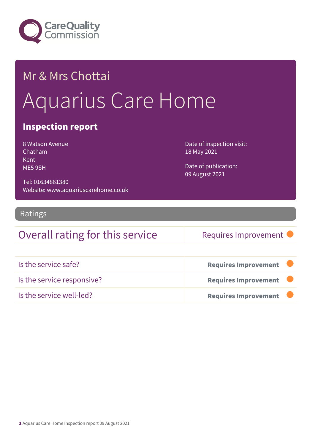

# Mr & Mrs Chottai Aquarius Care Home

### Inspection report

8 Watson Avenue Chatham Kent ME5 9SH

Tel: 01634861380

Date of inspection visit: 18 May 2021

Date of publication: 09 August 2021

Ratings

### Overall rating for this service Requires Improvement

Website: www.aquariuscarehome.co.uk

| Is the service safe?       | <b>Requires Improvement</b> |
|----------------------------|-----------------------------|
| Is the service responsive? | <b>Requires Improvement</b> |
| Is the service well-led?   | <b>Requires Improvement</b> |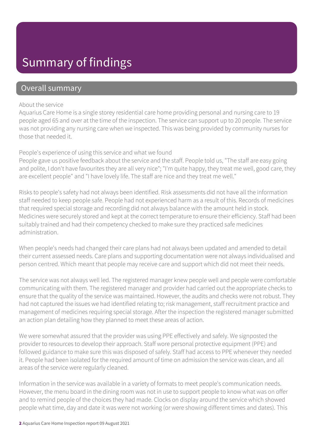### Summary of findings

### Overall summary

#### About the service

Aquarius Care Home is a single storey residential care home providing personal and nursing care to 19 people aged 65 and over at the time of the inspection. The service can support up to 20 people. The service was not providing any nursing care when we inspected. This was being provided by community nurses for those that needed it.

#### People's experience of using this service and what we found

People gave us positive feedback about the service and the staff. People told us, "The staff are easy going and polite, I don't have favourites they are all very nice"; "I'm quite happy, they treat me well, good care, they are excellent people" and "I have lovely life. The staff are nice and they treat me well."

Risks to people's safety had not always been identified. Risk assessments did not have all the information staff needed to keep people safe. People had not experienced harm as a result of this. Records of medicines that required special storage and recording did not always balance with the amount held in stock. Medicines were securely stored and kept at the correct temperature to ensure their efficiency. Staff had been suitably trained and had their competency checked to make sure they practiced safe medicines administration.

When people's needs had changed their care plans had not always been updated and amended to detail their current assessed needs. Care plans and supporting documentation were not always individualised and person centred. Which meant that people may receive care and support which did not meet their needs.

The service was not always well led. The registered manager knew people well and people were comfortable communicating with them. The registered manager and provider had carried out the appropriate checks to ensure that the quality of the service was maintained. However, the audits and checks were not robust. They had not captured the issues we had identified relating to; risk management, staff recruitment practice and management of medicines requiring special storage. After the inspection the registered manager submitted an action plan detailing how they planned to meet these areas of action.

We were somewhat assured that the provider was using PPE effectively and safely. We signposted the provider to resources to develop their approach. Staff wore personal protective equipment (PPE) and followed guidance to make sure this was disposed of safely. Staff had access to PPE whenever they needed it. People had been isolated for the required amount of time on admission the service was clean, and all areas of the service were regularly cleaned.

Information in the service was available in a variety of formats to meet people's communication needs. However, the menu board in the dining room was not in use to support people to know what was on offer and to remind people of the choices they had made. Clocks on display around the service which showed people what time, day and date it was were not working (or were showing different times and dates). This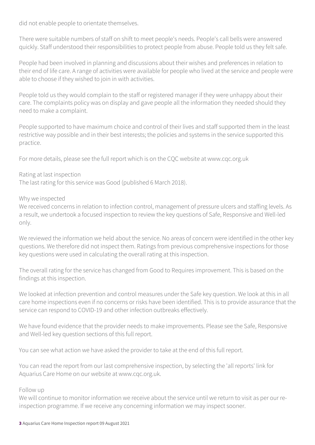did not enable people to orientate themselves.

There were suitable numbers of staff on shift to meet people's needs. People's call bells were answered quickly. Staff understood their responsibilities to protect people from abuse. People told us they felt safe.

People had been involved in planning and discussions about their wishes and preferences in relation to their end of life care. A range of activities were available for people who lived at the service and people were able to choose if they wished to join in with activities.

People told us they would complain to the staff or registered manager if they were unhappy about their care. The complaints policy was on display and gave people all the information they needed should they need to make a complaint.

People supported to have maximum choice and control of their lives and staff supported them in the least restrictive way possible and in their best interests; the policies and systems in the service supported this practice.

For more details, please see the full report which is on the CQC website at www.cqc.org.uk

#### Rating at last inspection

The last rating for this service was Good (published 6 March 2018).

#### Why we inspected

We received concerns in relation to infection control, management of pressure ulcers and staffing levels. As a result, we undertook a focused inspection to review the key questions of Safe, Responsive and Well-led only.

We reviewed the information we held about the service. No areas of concern were identified in the other key questions. We therefore did not inspect them. Ratings from previous comprehensive inspections for those key questions were used in calculating the overall rating at this inspection.

The overall rating for the service has changed from Good to Requires improvement. This is based on the findings at this inspection.

We looked at infection prevention and control measures under the Safe key question. We look at this in all care home inspections even if no concerns or risks have been identified. This is to provide assurance that the service can respond to COVID-19 and other infection outbreaks effectively.

We have found evidence that the provider needs to make improvements. Please see the Safe, Responsive and Well-led key question sections of this full report.

You can see what action we have asked the provider to take at the end of this full report.

You can read the report from our last comprehensive inspection, by selecting the 'all reports' link for Aquarius Care Home on our website at www.cqc.org.uk.

#### Follow up

We will continue to monitor information we receive about the service until we return to visit as per our reinspection programme. If we receive any concerning information we may inspect sooner.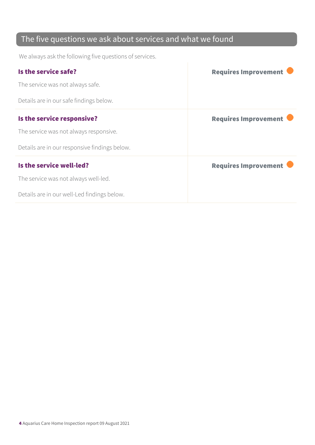### The five questions we ask about services and what we found

We always ask the following five questions of services.

| Is the service safe?                          | <b>Requires Improvement</b> |
|-----------------------------------------------|-----------------------------|
| The service was not always safe.              |                             |
| Details are in our safe findings below.       |                             |
| Is the service responsive?                    | <b>Requires Improvement</b> |
| The service was not always responsive.        |                             |
| Details are in our responsive findings below. |                             |
| Is the service well-led?                      | <b>Requires Improvement</b> |
| The service was not always well-led.          |                             |
| Details are in our well-Led findings below.   |                             |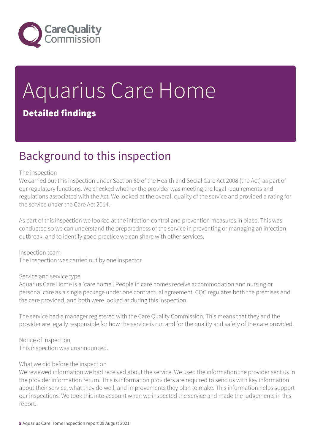

# Aquarius Care Home Detailed findings

### Background to this inspection

#### The inspection

We carried out this inspection under Section 60 of the Health and Social Care Act 2008 (the Act) as part of our regulatory functions. We checked whether the provider was meeting the legal requirements and regulations associated with the Act. We looked at the overall quality of the service and provided a rating for the service under the Care Act 2014.

As part of this inspection we looked at the infection control and prevention measures in place. This was conducted so we can understand the preparedness of the service in preventing or managing an infection outbreak, and to identify good practice we can share with other services.

Inspection team The inspection was carried out by one inspector

#### Service and service type

Aquarius Care Home is a 'care home'. People in care homes receive accommodation and nursing or personal care as a single package under one contractual agreement. CQC regulates both the premises and the care provided, and both were looked at during this inspection.

The service had a manager registered with the Care Quality Commission. This means that they and the provider are legally responsible for how the service is run and for the quality and safety of the care provided.

Notice of inspection This inspection was unannounced.

#### What we did before the inspection

We reviewed information we had received about the service. We used the information the provider sent us in the provider information return. This is information providers are required to send us with key information about their service, what they do well, and improvements they plan to make. This information helps support our inspections. We took this into account when we inspected the service and made the judgements in this report.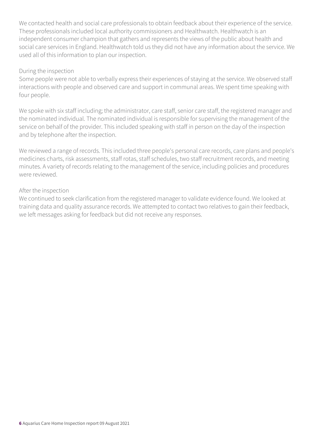We contacted health and social care professionals to obtain feedback about their experience of the service. These professionals included local authority commissioners and Healthwatch. Healthwatch is an independent consumer champion that gathers and represents the views of the public about health and social care services in England. Healthwatch told us they did not have any information about the service. We used all of this information to plan our inspection.

#### During the inspection

Some people were not able to verbally express their experiences of staying at the service. We observed staff interactions with people and observed care and support in communal areas. We spent time speaking with four people.

We spoke with six staff including; the administrator, care staff, senior care staff, the registered manager and the nominated individual. The nominated individual is responsible for supervising the management of the service on behalf of the provider. This included speaking with staff in person on the day of the inspection and by telephone after the inspection.

We reviewed a range of records. This included three people's personal care records, care plans and people's medicines charts, risk assessments, staff rotas, staff schedules, two staff recruitment records, and meeting minutes. A variety of records relating to the management of the service, including policies and procedures were reviewed.

#### After the inspection

We continued to seek clarification from the registered manager to validate evidence found. We looked at training data and quality assurance records. We attempted to contact two relatives to gain their feedback, we left messages asking for feedback but did not receive any responses.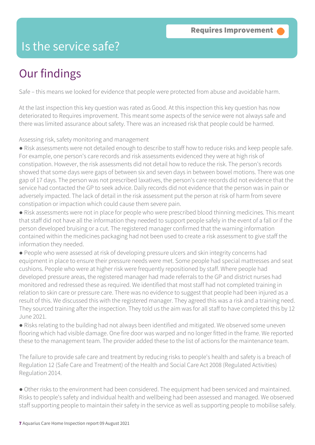### Is the service safe?

## Our findings

Safe – this means we looked for evidence that people were protected from abuse and avoidable harm.

At the last inspection this key question was rated as Good. At this inspection this key question has now deteriorated to Requires improvement. This meant some aspects of the service were not always safe and there was limited assurance about safety. There was an increased risk that people could be harmed.

Assessing risk, safety monitoring and management

● Risk assessments were not detailed enough to describe to staff how to reduce risks and keep people safe. For example, one person's care records and risk assessments evidenced they were at high risk of constipation. However, the risk assessments did not detail how to reduce the risk. The person's records showed that some days were gaps of between six and seven days in between bowel motions. There was one gap of 17 days. The person was not prescribed laxatives, the person's care records did not evidence that the service had contacted the GP to seek advice. Daily records did not evidence that the person was in pain or adversely impacted. The lack of detail in the risk assessment put the person at risk of harm from severe constipation or impaction which could cause them severe pain.

● Risk assessments were not in place for people who were prescribed blood thinning medicines. This meant that staff did not have all the information they needed to support people safely in the event of a fall or if the person developed bruising or a cut. The registered manager confirmed that the warning information contained within the medicines packaging had not been used to create a risk assessment to give staff the information they needed.

● People who were assessed at risk of developing pressure ulcers and skin integrity concerns had equipment in place to ensure their pressure needs were met. Some people had special mattresses and seat cushions. People who were at higher risk were frequently repositioned by staff. Where people had developed pressure areas, the registered manager had made referrals to the GP and district nurses had monitored and redressed these as required. We identified that most staff had not completed training in relation to skin care or pressure care. There was no evidence to suggest that people had been injured as a result of this. We discussed this with the registered manager. They agreed this was a risk and a training need. They sourced training after the inspection. They told us the aim was for all staff to have completed this by 12 June 2021.

● Risks relating to the building had not always been identified and mitigated. We observed some uneven flooring which had visible damage. One fire door was warped and no longer fitted in the frame. We reported these to the management team. The provider added these to the list of actions for the maintenance team.

The failure to provide safe care and treatment by reducing risks to people's health and safety is a breach of Regulation 12 (Safe Care and Treatment) of the Health and Social Care Act 2008 (Regulated Activities) Regulation 2014.

● Other risks to the environment had been considered. The equipment had been serviced and maintained. Risks to people's safety and individual health and wellbeing had been assessed and managed. We observed staff supporting people to maintain their safety in the service as well as supporting people to mobilise safely.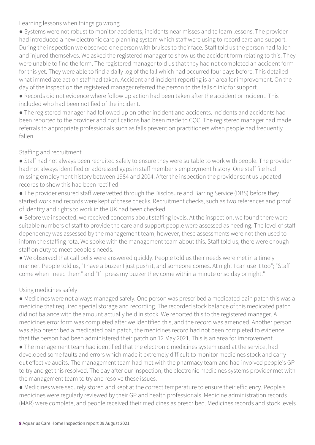Learning lessons when things go wrong

● Systems were not robust to monitor accidents, incidents near misses and to learn lessons. The provider had introduced a new electronic care planning system which staff were using to record care and support. During the inspection we observed one person with bruises to their face. Staff told us the person had fallen and injured themselves. We asked the registered manager to show us the accident form relating to this. They were unable to find the form. The registered manager told us that they had not completed an accident form for this yet. They were able to find a daily log of the fall which had occurred four days before. This detailed what immediate action staff had taken. Accident and incident reporting is an area for improvement. On the day of the inspection the registered manager referred the person to the falls clinic for support.

● Records did not evidence where follow up action had been taken after the accident or incident. This included who had been notified of the incident.

● The registered manager had followed up on other incident and accidents. Incidents and accidents had been reported to the provider and notifications had been made to CQC. The registered manager had made referrals to appropriate professionals such as falls prevention practitioners when people had frequently fallen.

#### Staffing and recruitment

● Staff had not always been recruited safely to ensure they were suitable to work with people. The provider had not always identified or addressed gaps in staff member's employment history. One staff file had missing employment history between 1984 and 2004. After the inspection the provider sent us updated records to show this had been rectified.

● The provider ensured staff were vetted through the Disclosure and Barring Service (DBS) before they started work and records were kept of these checks. Recruitment checks, such as two references and proof of identity and rights to work in the UK had been checked.

● Before we inspected, we received concerns about staffing levels. At the inspection, we found there were suitable numbers of staff to provide the care and support people were assessed as needing. The level of staff dependency was assessed by the management team; however, these assessments were not then used to inform the staffing rota. We spoke with the management team about this. Staff told us, there were enough staff on duty to meet people's needs.

● We observed that call bells were answered quickly. People told us their needs were met in a timely manner. People told us, "I have a buzzer I just push it, and someone comes. At night I can use it too"; "Staff come when I need them" and "If I press my buzzer they come within a minute or so day or night."

#### Using medicines safely

● Medicines were not always managed safely. One person was prescribed a medicated pain patch this was a medicine that required special storage and recording. The recorded stock balance of this medicated patch did not balance with the amount actually held in stock. We reported this to the registered manager. A medicines error form was completed after we identified this, and the record was amended. Another person was also prescribed a medicated pain patch, the medicines record had not been completed to evidence that the person had been administered their patch on 12 May 2021. This is an area for improvement.

● The management team had identified that the electronic medicines system used at the service, had developed some faults and errors which made it extremely difficult to monitor medicines stock and carry out effective audits. The management team had met with the pharmacy team and had involved people's GP to try and get this resolved. The day after our inspection, the electronic medicines systems provider met with the management team to try and resolve these issues.

● Medicines were securely stored and kept at the correct temperature to ensure their efficiency. People's medicines were regularly reviewed by their GP and health professionals. Medicine administration records (MAR) were complete, and people received their medicines as prescribed. Medicines records and stock levels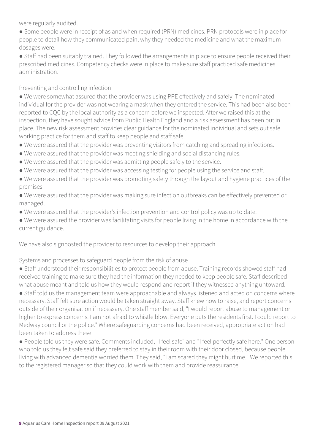were regularly audited.

- Some people were in receipt of as and when required (PRN) medicines. PRN protocols were in place for people to detail how they communicated pain, why they needed the medicine and what the maximum dosages were.
- Staff had been suitably trained. They followed the arrangements in place to ensure people received their prescribed medicines. Competency checks were in place to make sure staff practiced safe medicines administration.

#### Preventing and controlling infection

● We were somewhat assured that the provider was using PPE effectively and safely. The nominated individual for the provider was not wearing a mask when they entered the service. This had been also been reported to CQC by the local authority as a concern before we inspected. After we raised this at the inspection, they have sought advice from Public Health England and a risk assessment has been put in place. The new risk assessment provides clear guidance for the nominated individual and sets out safe working practice for them and staff to keep people and staff safe.

- We were assured that the provider was preventing visitors from catching and spreading infections.
- We were assured that the provider was meeting shielding and social distancing rules.
- We were assured that the provider was admitting people safely to the service.
- We were assured that the provider was accessing testing for people using the service and staff.
- We were assured that the provider was promoting safety through the layout and hygiene practices of the premises.
- We were assured that the provider was making sure infection outbreaks can be effectively prevented or managed.
- We were assured that the provider's infection prevention and control policy was up to date.

● We were assured the provider was facilitating visits for people living in the home in accordance with the current guidance.

We have also signposted the provider to resources to develop their approach.

Systems and processes to safeguard people from the risk of abuse

● Staff understood their responsibilities to protect people from abuse. Training records showed staff had received training to make sure they had the information they needed to keep people safe. Staff described what abuse meant and told us how they would respond and report if they witnessed anything untoward.

● Staff told us the management team were approachable and always listened and acted on concerns where necessary. Staff felt sure action would be taken straight away. Staff knew how to raise, and report concerns outside of their organisation if necessary. One staff member said, "I would report abuse to management or higher to express concerns. I am not afraid to whistle blow. Everyone puts the residents first. I could report to Medway council or the police." Where safeguarding concerns had been received, appropriate action had been taken to address these.

● People told us they were safe. Comments included, "I feel safe" and "I feel perfectly safe here." One person who told us they felt safe said they preferred to stay in their room with their door closed, because people living with advanced dementia worried them. They said, "I am scared they might hurt me." We reported this to the registered manager so that they could work with them and provide reassurance.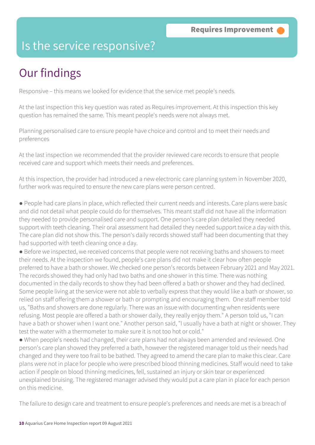### Is the service responsive?

## Our findings

Responsive – this means we looked for evidence that the service met people's needs.

At the last inspection this key question was rated as Requires improvement. At this inspection this key question has remained the same. This meant people's needs were not always met.

Planning personalised care to ensure people have choice and control and to meet their needs and preferences

At the last inspection we recommended that the provider reviewed care records to ensure that people received care and support which meets their needs and preferences.

At this inspection, the provider had introduced a new electronic care planning system in November 2020, further work was required to ensure the new care plans were person centred.

● People had care plans in place, which reflected their current needs and interests. Care plans were basic and did not detail what people could do for themselves. This meant staff did not have all the information they needed to provide personalised care and support. One person's care plan detailed they needed support with teeth cleaning. Their oral assessment had detailed they needed support twice a day with this. The care plan did not show this. The person's daily records showed staff had been documenting that they had supported with teeth cleaning once a day.

● Before we inspected, we received concerns that people were not receiving baths and showers to meet their needs. At the inspection we found, people's care plans did not make it clear how often people preferred to have a bath or shower. We checked one person's records between February 2021 and May 2021. The records showed they had only had two baths and one shower in this time. There was nothing documented in the daily records to show they had been offered a bath or shower and they had declined. Some people living at the service were not able to verbally express that they would like a bath or shower, so relied on staff offering them a shower or bath or prompting and encouraging them. One staff member told us, "Baths and showers are done regularly. There was an issue with documenting when residents were refusing. Most people are offered a bath or shower daily, they really enjoy them." A person told us, "I can have a bath or shower when I want one." Another person said, "I usually have a bath at night or shower. They test the water with a thermometer to make sure it is not too hot or cold."

● When people's needs had changed, their care plans had not always been amended and reviewed. One person's care plan showed they preferred a bath, however the registered manager told us their needs had changed and they were too frail to be bathed. They agreed to amend the care plan to make this clear. Care plans were not in place for people who were prescribed blood thinning medicines. Staff would need to take action if people on blood thinning medicines, fell, sustained an injury or skin tear or experienced unexplained bruising. The registered manager advised they would put a care plan in place for each person on this medicine.

The failure to design care and treatment to ensure people's preferences and needs are met is a breach of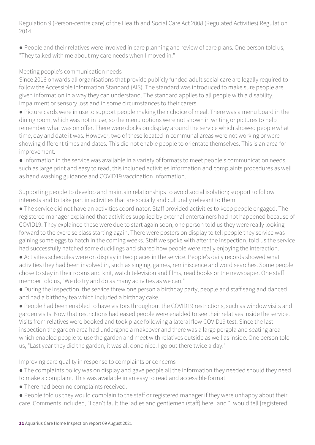Regulation 9 (Person-centre care) of the Health and Social Care Act 2008 (Regulated Activities) Regulation 2014.

● People and their relatives were involved in care planning and review of care plans. One person told us, "They talked with me about my care needs when I moved in."

#### Meeting people's communication needs

Since 2016 onwards all organisations that provide publicly funded adult social care are legally required to follow the Accessible Information Standard (AIS). The standard was introduced to make sure people are given information in a way they can understand. The standard applies to all people with a disability, impairment or sensory loss and in some circumstances to their carers.

● Picture cards were in use to support people making their choice of meal. There was a menu board in the dining room, which was not in use, so the menu options were not shown in writing or pictures to help remember what was on offer. There were clocks on display around the service which showed people what time, day and date it was. However, two of these located in communal areas were not working or were showing different times and dates. This did not enable people to orientate themselves. This is an area for improvement.

● Information in the service was available in a variety of formats to meet people's communication needs, such as large print and easy to read, this included activities information and complaints procedures as well as hand washing guidance and COVID19 vaccination information.

Supporting people to develop and maintain relationships to avoid social isolation; support to follow interests and to take part in activities that are socially and culturally relevant to them.

● The service did not have an activities coordinator. Staff provided activities to keep people engaged. The registered manager explained that activities supplied by external entertainers had not happened because of COVID19. They explained these were due to start again soon, one person told us they were really looking forward to the exercise class starting again. There were posters on display to tell people they service was gaining some eggs to hatch in the coming weeks. Staff we spoke with after the inspection, told us the service had successfully hatched some ducklings and shared how people were really enjoying the interaction.

● Activities schedules were on display in two places in the service. People's daily records showed what activities they had been involved in, such as singing, games, reminiscence and word searches. Some people chose to stay in their rooms and knit, watch television and films, read books or the newspaper. One staff member told us, "We do try and do as many activities as we can."

● During the inspection, the service threw one person a birthday party, people and staff sang and danced and had a birthday tea which included a birthday cake.

● People had been enabled to have visitors throughout the COVID19 restrictions, such as window visits and garden visits. Now that restrictions had eased people were enabled to see their relatives inside the service. Visits from relatives were booked and took place following a lateral flow COVID19 test. Since the last inspection the garden area had undergone a makeover and there was a large pergola and seating area which enabled people to use the garden and meet with relatives outside as well as inside. One person told us, "Last year they did the garden, it was all done nice. I go out there twice a day."

Improving care quality in response to complaints or concerns

- The complaints policy was on display and gave people all the information they needed should they need to make a complaint. This was available in an easy to read and accessible format.
- There had been no complaints received.
- People told us they would complain to the staff or registered manager if they were unhappy about their care. Comments included, "I can't fault the ladies and gentlemen (staff) here" and "I would tell [registered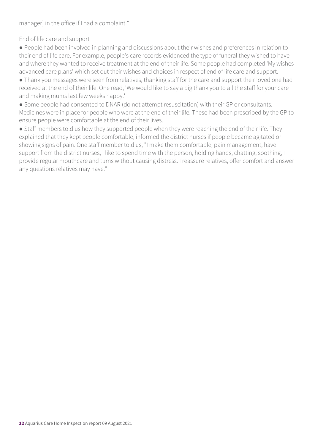manager] in the office if I had a complaint."

End of life care and support

● People had been involved in planning and discussions about their wishes and preferences in relation to their end of life care. For example, people's care records evidenced the type of funeral they wished to have and where they wanted to receive treatment at the end of their life. Some people had completed 'My wishes advanced care plans' which set out their wishes and choices in respect of end of life care and support.

● Thank you messages were seen from relatives, thanking staff for the care and support their loved one had received at the end of their life. One read, 'We would like to say a big thank you to all the staff for your care and making mums last few weeks happy.'

● Some people had consented to DNAR (do not attempt resuscitation) with their GP or consultants. Medicines were in place for people who were at the end of their life. These had been prescribed by the GP to ensure people were comfortable at the end of their lives.

• Staff members told us how they supported people when they were reaching the end of their life. They explained that they kept people comfortable, informed the district nurses if people became agitated or showing signs of pain. One staff member told us, "I make them comfortable, pain management, have support from the district nurses, I like to spend time with the person, holding hands, chatting, soothing, I provide regular mouthcare and turns without causing distress. I reassure relatives, offer comfort and answer any questions relatives may have."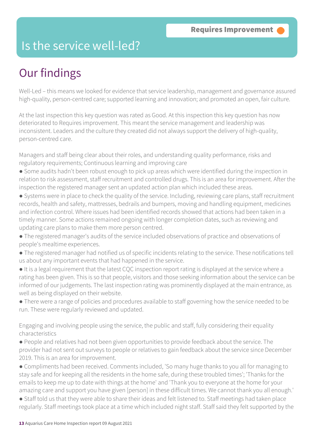### Is the service well-led?

### Our findings

Well-Led – this means we looked for evidence that service leadership, management and governance assured high-quality, person-centred care; supported learning and innovation; and promoted an open, fair culture.

At the last inspection this key question was rated as Good. At this inspection this key question has now deteriorated to Requires improvement. This meant the service management and leadership was inconsistent. Leaders and the culture they created did not always support the delivery of high-quality, person-centred care.

Managers and staff being clear about their roles, and understanding quality performance, risks and regulatory requirements; Continuous learning and improving care

- Some audits hadn't been robust enough to pick up areas which were identified during the inspection in relation to risk assessment, staff recruitment and controlled drugs. This is an area for improvement. After the inspection the registered manager sent an updated action plan which included these areas.
- Systems were in place to check the quality of the service. Including, reviewing care plans, staff recruitment records, health and safety, mattresses, bedrails and bumpers, moving and handling equipment, medicines and infection control. Where issues had been identified records showed that actions had been taken in a timely manner. Some actions remained ongoing with longer completion dates, such as reviewing and updating care plans to make them more person centred.
- The registered manager's audits of the service included observations of practice and observations of people's mealtime experiences.
- The registered manager had notified us of specific incidents relating to the service. These notifications tell us about any important events that had happened in the service.
- It is a legal requirement that the latest CQC inspection report rating is displayed at the service where a rating has been given. This is so that people, visitors and those seeking information about the service can be informed of our judgements. The last inspection rating was prominently displayed at the main entrance, as well as being displayed on their website.
- There were a range of policies and procedures available to staff governing how the service needed to be run. These were regularly reviewed and updated.

Engaging and involving people using the service, the public and staff, fully considering their equality characteristics

- People and relatives had not been given opportunities to provide feedback about the service. The provider had not sent out surveys to people or relatives to gain feedback about the service since December 2019. This is an area for improvement.
- Compliments had been received. Comments included, 'So many huge thanks to you all for managing to stay safe and for keeping all the residents in the home safe, during these troubled times'; 'Thanks for the emails to keep me up to date with things at the home' and 'Thank you to everyone at the home for your amazing care and support you have given [person] in these difficult times. We cannot thank you all enough.'
- Staff told us that they were able to share their ideas and felt listened to. Staff meetings had taken place regularly. Staff meetings took place at a time which included night staff. Staff said they felt supported by the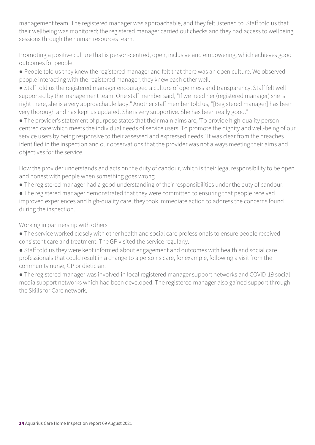management team. The registered manager was approachable, and they felt listened to. Staff told us that their wellbeing was monitored; the registered manager carried out checks and they had access to wellbeing sessions through the human resources team.

Promoting a positive culture that is person-centred, open, inclusive and empowering, which achieves good outcomes for people

● People told us they knew the registered manager and felt that there was an open culture. We observed people interacting with the registered manager, they knew each other well.

● Staff told us the registered manager encouraged a culture of openness and transparency. Staff felt well supported by the management team. One staff member said, "If we need her (registered manager) she is right there, she is a very approachable lady." Another staff member told us, "[Registered manager] has been very thorough and has kept us updated. She is very supportive. She has been really good."

● The provider's statement of purpose states that their main aims are, 'To provide high-quality personcentred care which meets the individual needs of service users. To promote the dignity and well-being of our service users by being responsive to their assessed and expressed needs.' It was clear from the breaches identified in the inspection and our observations that the provider was not always meeting their aims and objectives for the service.

How the provider understands and acts on the duty of candour, which is their legal responsibility to be open and honest with people when something goes wrong

● The registered manager had a good understanding of their responsibilities under the duty of candour.

● The registered manager demonstrated that they were committed to ensuring that people received improved experiences and high-quality care, they took immediate action to address the concerns found during the inspection.

Working in partnership with others

- The service worked closely with other health and social care professionals to ensure people received consistent care and treatment. The GP visited the service regularly.
- Staff told us they were kept informed about engagement and outcomes with health and social care professionals that could result in a change to a person's care, for example, following a visit from the community nurse, GP or dietician.

● The registered manager was involved in local registered manager support networks and COVID-19 social media support networks which had been developed. The registered manager also gained support through the Skills for Care network.